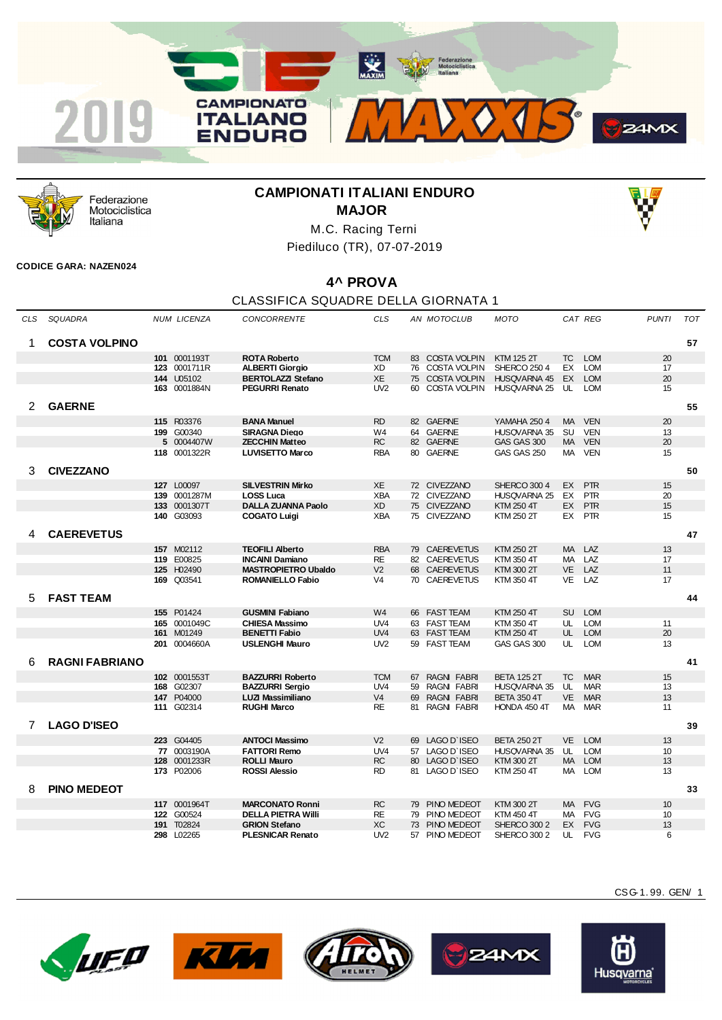



Federazione Motociclistica Italiana

## **CAMPIONATI ITALIANI ENDURO MAJOR**



M.C. Racing Terni Piediluco (TR), 07-07-2019

## **CODICE GARA: NAZEN024**

## **4^ PROVA**

## CLASSIFICA SQUADRE DELLA GIORNATA 1

| CLS            | SQUADRA               |     | <b>NUM LICENZA</b> | <b>CONCORRENTE</b>         | <b>CLS</b>      |    | AN MOTOCLUB         | <b>MOTO</b>         |           | CAT REG    | <b>PUNTI</b> | <b>TOT</b> |
|----------------|-----------------------|-----|--------------------|----------------------------|-----------------|----|---------------------|---------------------|-----------|------------|--------------|------------|
| 1              | <b>COSTA VOLPINO</b>  |     |                    |                            |                 |    |                     |                     |           |            |              | 57         |
|                |                       |     | 101 0001193T       | <b>ROTA Roberto</b>        | <b>TCM</b>      |    | 83 COSTA VOLPIN     | <b>KTM 125 2T</b>   | TC        | <b>LOM</b> | 20           |            |
|                |                       |     | 123 0001711R       | <b>ALBERTI Giorgio</b>     | XD              | 76 | COSTA VOLPIN        | <b>SHERCO 250 4</b> | EX        | <b>LOM</b> | 17           |            |
|                |                       |     | 144 U05102         | <b>BERTOLAZZI Stefano</b>  | XE              | 75 | <b>COSTA VOLPIN</b> | HUSQVARNA 45        | EX        | <b>LOM</b> | 20           |            |
|                |                       |     | 163 0001884N       | <b>PEGURRI Renato</b>      | UV2             | 60 | <b>COSTA VOLPIN</b> | <b>HUSQVARNA 25</b> | UL        | <b>LOM</b> | 15           |            |
|                |                       |     |                    |                            |                 |    |                     |                     |           |            |              |            |
| $\overline{2}$ | <b>GAERNE</b>         |     |                    |                            |                 |    |                     |                     |           |            |              | 55         |
|                |                       |     | 115 R03376         | <b>BANA Manuel</b>         | <b>RD</b>       |    | 82 GAERNE           | <b>YAMAHA 250 4</b> | <b>MA</b> | <b>VEN</b> | 20           |            |
|                |                       |     | 199 G00340         | <b>SIRAGNA Diego</b>       | W4              | 64 | <b>GAERNE</b>       | <b>HUSQVARNA 35</b> | SU        | <b>VEN</b> | 13           |            |
|                |                       |     | 5 0004407W         | <b>ZECCHIN Matteo</b>      | <b>RC</b>       |    | 82 GAERNE           | GAS GAS 300         | MA        | <b>VEN</b> | 20           |            |
|                |                       |     | 118 0001322R       | <b>LUVISETTO Marco</b>     | <b>RBA</b>      | 80 | <b>GAERNE</b>       | GAS GAS 250         | МA        | <b>VEN</b> | 15           |            |
|                |                       |     |                    |                            |                 |    |                     |                     |           |            |              |            |
| 3              | <b>CIVEZZANO</b>      |     |                    |                            |                 |    |                     |                     |           |            |              | 50         |
|                |                       |     | 127 L00097         | <b>SILVESTRIN Mirko</b>    | XE              |    | 72 CIVEZZANO        | SHERCO 300 4        | EX        | <b>PTR</b> | 15           |            |
|                |                       | 139 | 0001287M           | <b>LOSS Luca</b>           | <b>XBA</b>      | 72 | <b>CIVEZZANO</b>    | <b>HUSQVARNA 25</b> | EX        | <b>PTR</b> | 20           |            |
|                |                       |     | 133 0001307T       | <b>DALLA ZUANNA Paolo</b>  | <b>XD</b>       |    | 75 CIVEZZANO        | <b>KTM 250 4T</b>   | EX        | <b>PTR</b> | 15           |            |
|                |                       |     | 140 G03093         | <b>COGATO Luigi</b>        | <b>XBA</b>      |    | 75 CIVEZZANO        | KTM 250 2T          | EX        | <b>PTR</b> | 15           |            |
| 4              | <b>CAEREVETUS</b>     |     |                    |                            |                 |    |                     |                     |           |            |              | 47         |
|                |                       |     |                    |                            |                 |    |                     |                     |           |            |              |            |
|                |                       |     | 157 M02112         | <b>TEOFILI Alberto</b>     | <b>RBA</b>      |    | 79 CAEREVETUS       | KTM 250 2T          | <b>MA</b> | LAZ        | 13           |            |
|                |                       |     | 119 E00825         | <b>INCAINI Damiano</b>     | <b>RE</b>       | 82 | <b>CAEREVETUS</b>   | KTM 350 4T          | MA.       | LAZ        | 17           |            |
|                |                       |     | 125 H02490         | <b>MASTROPIETRO Ubaldo</b> | V <sub>2</sub>  | 68 | <b>CAEREVETUS</b>   | KTM 300 2T          | VE        | LAZ        | 11           |            |
|                |                       | 169 | Q03541             | <b>ROMANIELLO Fabio</b>    | V <sub>4</sub>  |    | 70 CAEREVETUS       | KTM 350 4T          | <b>VE</b> | LAZ        | 17           |            |
| 5              | <b>FAST TEAM</b>      |     |                    |                            |                 |    |                     |                     |           |            |              | 44         |
|                |                       |     | 155 P01424         | <b>GUSMINI Fabiano</b>     | W <sub>4</sub>  |    | 66 FAST TEAM        | KTM 250 4T          | <b>SU</b> | <b>LOM</b> |              |            |
|                |                       |     | 165 0001049C       | <b>CHIESA Massimo</b>      | UV <sub>4</sub> | 63 | <b>FAST TEAM</b>    | KTM 350 4T          | UL        | <b>LOM</b> | 11           |            |
|                |                       |     | 161 M01249         | <b>BENETTI Fabio</b>       | UV <sub>4</sub> |    | 63 FAST TEAM        | KTM 250 4T          | UL        | <b>LOM</b> | 20           |            |
|                |                       |     | 201 0004660A       | <b>USLENGHI Mauro</b>      | UV <sub>2</sub> |    | 59 FAST TEAM        | GAS GAS 300         | UL        | <b>LOM</b> | 13           |            |
|                |                       |     |                    |                            |                 |    |                     |                     |           |            |              |            |
| 6              | <b>RAGNI FABRIANO</b> |     |                    |                            |                 |    |                     |                     |           |            |              | 41         |
|                |                       |     | 102 0001553T       | <b>BAZZURRI Roberto</b>    | <b>TCM</b>      | 67 | <b>RAGNI FABRI</b>  | <b>BETA 125 2T</b>  | <b>TC</b> | <b>MAR</b> | 15           |            |
|                |                       |     | 168 G02307         | <b>BAZZURRI Sergio</b>     | UV <sub>4</sub> | 59 | <b>RAGNI FABRI</b>  | HUSQVARNA 35        | UL        | <b>MAR</b> | 13           |            |
|                |                       |     | 147 P04000         | LUZI Massimiliano          | V <sub>4</sub>  | 69 | <b>RAGNI FABRI</b>  | <b>BETA 350 4T</b>  | <b>VE</b> | <b>MAR</b> | 13           |            |
|                |                       | 111 | G02314             | <b>RUGHI Marco</b>         | <b>RE</b>       | 81 | <b>RAGNI FABRI</b>  | HONDA 450 4T        | МA        | <b>MAR</b> | 11           |            |
|                |                       |     |                    |                            |                 |    |                     |                     |           |            |              |            |
| 7              | <b>LAGO D'ISEO</b>    |     |                    |                            |                 |    |                     |                     |           |            |              | 39         |
|                |                       |     | 223 G04405         | <b>ANTOCI Massimo</b>      | V <sub>2</sub>  | 69 | LAGO D'ISEO         | <b>BETA 250 2T</b>  | <b>VE</b> | <b>LOM</b> | 13           |            |
|                |                       | 77  | 0003190A           | <b>FATTORI Remo</b>        | UV <sub>4</sub> | 57 | LAGO D'ISEO         | <b>HUSQVARNA 35</b> | UL        | <b>LOM</b> | 10           |            |
|                |                       |     | 128 0001233R       | <b>ROLLI Mauro</b>         | <b>RC</b>       |    | 80 LAGO D'ISEO      | KTM 300 2T          | <b>MA</b> | <b>LOM</b> | 13           |            |
|                |                       |     | 173 P02006         | <b>ROSSI Alessio</b>       | <b>RD</b>       |    | 81 LAGO D'ISEO      | KTM 250 4T          | MA.       | <b>LOM</b> | 13           |            |
| 8              | <b>PINO MEDEOT</b>    |     |                    |                            |                 |    |                     |                     |           |            |              |            |
|                |                       |     |                    |                            |                 |    |                     |                     |           |            |              | 33         |
|                |                       |     | 117 0001964T       | <b>MARCONATO Ronni</b>     | <b>RC</b>       | 79 | PINO MEDEOT         | KTM 300 2T          | <b>MA</b> | <b>FVG</b> | 10           |            |
|                |                       | 122 | G00524             | <b>DELLA PIETRA Willi</b>  | <b>RE</b>       | 79 | PINO MEDEOT         | KTM 450 4T          | <b>MA</b> | <b>FVG</b> | 10           |            |
|                |                       |     | <b>191 T02824</b>  | <b>GRION Stefano</b>       | XC              | 73 | PINO MEDEOT         | <b>SHERCO 300 2</b> | EX        | <b>FVG</b> | 13           |            |
|                |                       |     | 298 L02265         | <b>PLESNICAR Renato</b>    | UV <sub>2</sub> | 57 | PINO MEDEOT         | <b>SHERCO 300 2</b> | UL        | <b>FVG</b> | 6            |            |











CSG-1. 99. GEN/ 1